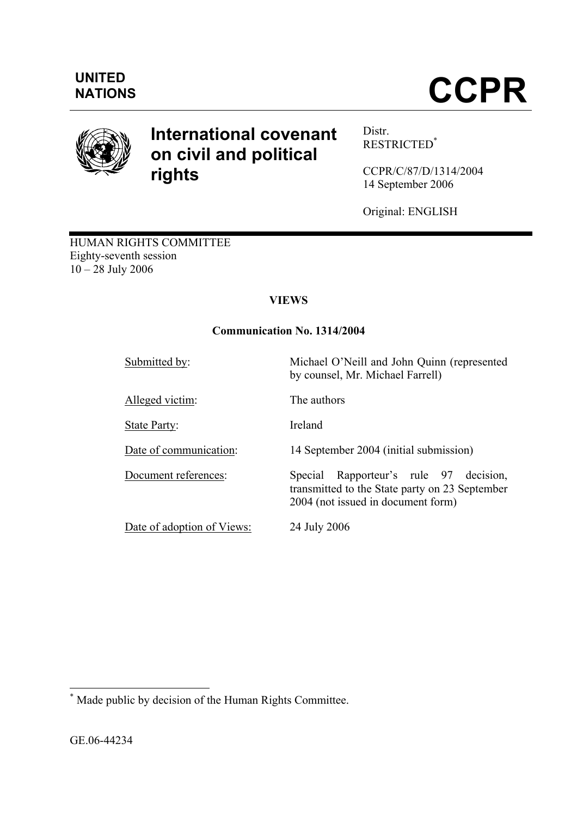## **UNITED**

# **NATIONS CCPR**



### **International covenant on civil and political rights**

Distr. RESTRICTED\*

CCPR/C/87/D/1314/2004 14 September 2006

Original: ENGLISH

HUMAN RIGHTS COMMITTEE Eighty-seventh session  $10 - 28$  July 2006

#### **VIEWS**

#### **Communication No. 1314/2004**

| Submitted by:              | Michael O'Neill and John Quinn (represented<br>by counsel, Mr. Michael Farrell)                                                   |
|----------------------------|-----------------------------------------------------------------------------------------------------------------------------------|
| Alleged victim:            | The authors                                                                                                                       |
| <b>State Party:</b>        | Ireland                                                                                                                           |
| Date of communication:     | 14 September 2004 (initial submission)                                                                                            |
| Document references:       | Rapporteur's rule 97 decision,<br>Special<br>transmitted to the State party on 23 September<br>2004 (not issued in document form) |
| Date of adoption of Views: | 24 July 2006                                                                                                                      |

 \* Made public by decision of the Human Rights Committee.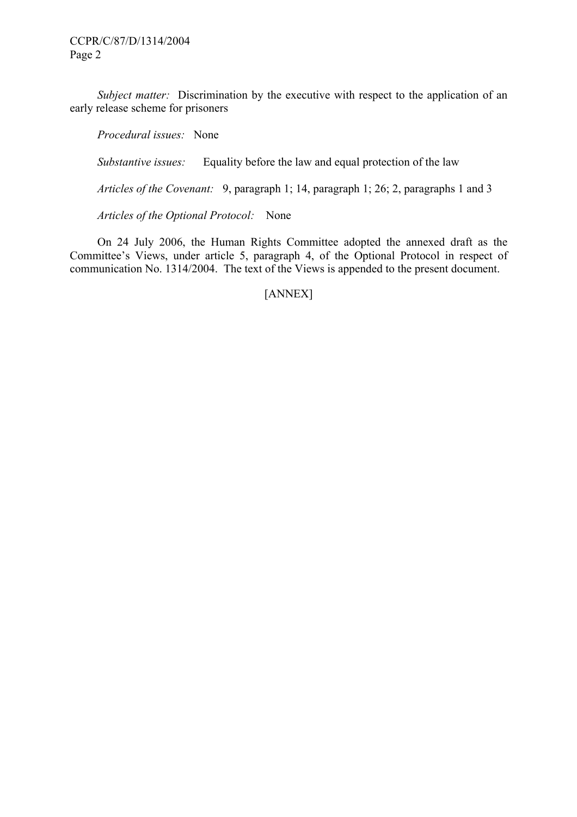*Subject matter:* Discrimination by the executive with respect to the application of an early release scheme for prisoners

 *Procedural issues:* None

 *Substantive issues:* Equality before the law and equal protection of the law

 *Articles of the Covenant:* 9, paragraph 1; 14, paragraph 1; 26; 2, paragraphs 1 and 3

 *Articles of the Optional Protocol:* None

 On 24 July 2006, the Human Rights Committee adopted the annexed draft as the Committee's Views, under article 5, paragraph 4, of the Optional Protocol in respect of communication No. 1314/2004. The text of the Views is appended to the present document.

#### [ANNEX]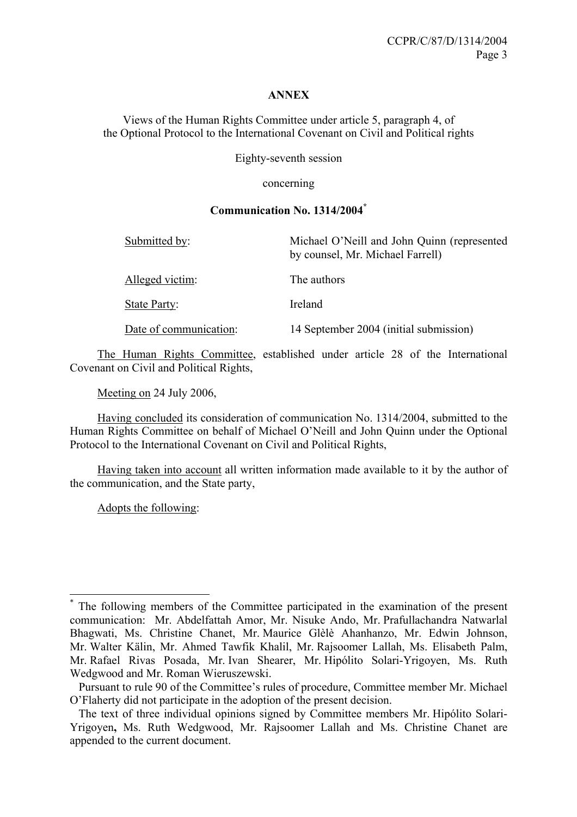#### **ANNEX**

Views of the Human Rights Committee under article 5, paragraph 4, of the Optional Protocol to the International Covenant on Civil and Political rights

Eighty-seventh session

concerning

#### **Communication No. 1314/2004\***

| Submitted by:          | Michael O'Neill and John Quinn (represented<br>by counsel, Mr. Michael Farrell) |
|------------------------|---------------------------------------------------------------------------------|
| Alleged victim:        | The authors                                                                     |
| State Party:           | Ireland                                                                         |
| Date of communication: | 14 September 2004 (initial submission)                                          |

 The Human Rights Committee, established under article 28 of the International Covenant on Civil and Political Rights,

Meeting on 24 July 2006,

 Having concluded its consideration of communication No. 1314/2004, submitted to the Human Rights Committee on behalf of Michael O'Neill and John Quinn under the Optional Protocol to the International Covenant on Civil and Political Rights,

 Having taken into account all written information made available to it by the author of the communication, and the State party,

Adopts the following:

<sup>\*</sup> The following members of the Committee participated in the examination of the present communication: Mr. Abdelfattah Amor, Mr. Nisuke Ando, Mr. Prafullachandra Natwarlal Bhagwati, Ms. Christine Chanet, Mr. Maurice Glèlè Ahanhanzo, Mr. Edwin Johnson, Mr. Walter Kälin, Mr. Ahmed Tawfik Khalil, Mr. Rajsoomer Lallah, Ms. Elisabeth Palm, Mr. Rafael Rivas Posada, Mr. Ivan Shearer, Mr. Hipólito Solari-Yrigoyen, Ms. Ruth Wedgwood and Mr. Roman Wieruszewski.

Pursuant to rule 90 of the Committee's rules of procedure, Committee member Mr. Michael O'Flaherty did not participate in the adoption of the present decision.

The text of three individual opinions signed by Committee members Mr. Hipólito Solari-Yrigoyen**,** Ms. Ruth Wedgwood, Mr. Rajsoomer Lallah and Ms. Christine Chanet are appended to the current document.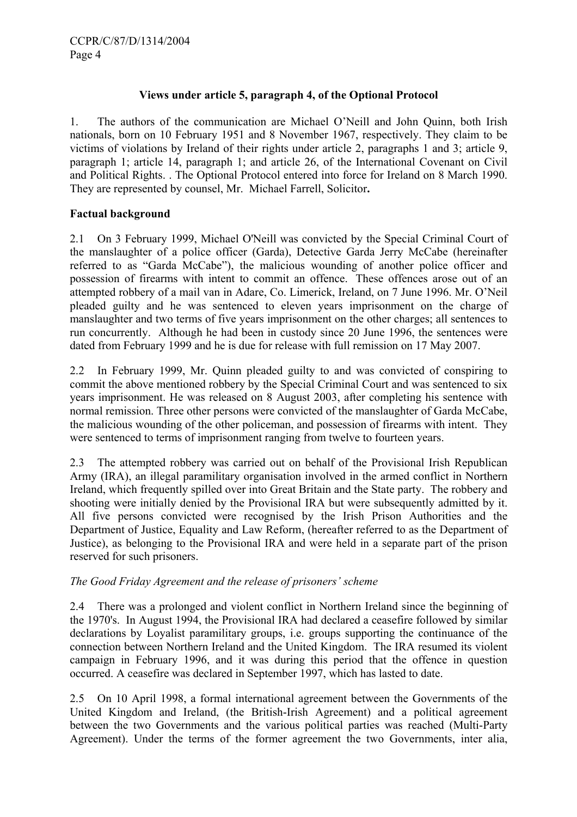#### **Views under article 5, paragraph 4, of the Optional Protocol**

1. The authors of the communication are Michael O'Neill and John Quinn, both Irish nationals, born on 10 February 1951 and 8 November 1967, respectively. They claim to be victims of violations by Ireland of their rights under article 2, paragraphs 1 and 3; article 9, paragraph 1; article 14, paragraph 1; and article 26, of the International Covenant on Civil and Political Rights. . The Optional Protocol entered into force for Ireland on 8 March 1990. They are represented by counsel, Mr. Michael Farrell, Solicitor**.** 

#### **Factual background**

2.1 On 3 February 1999, Michael O'Neill was convicted by the Special Criminal Court of the manslaughter of a police officer (Garda), Detective Garda Jerry McCabe (hereinafter referred to as "Garda McCabe"), the malicious wounding of another police officer and possession of firearms with intent to commit an offence. These offences arose out of an attempted robbery of a mail van in Adare, Co. Limerick, Ireland, on 7 June 1996. Mr. O'Neil pleaded guilty and he was sentenced to eleven years imprisonment on the charge of manslaughter and two terms of five years imprisonment on the other charges; all sentences to run concurrently. Although he had been in custody since 20 June 1996, the sentences were dated from February 1999 and he is due for release with full remission on 17 May 2007.

2.2 In February 1999, Mr. Quinn pleaded guilty to and was convicted of conspiring to commit the above mentioned robbery by the Special Criminal Court and was sentenced to six years imprisonment. He was released on 8 August 2003, after completing his sentence with normal remission. Three other persons were convicted of the manslaughter of Garda McCabe, the malicious wounding of the other policeman, and possession of firearms with intent. They were sentenced to terms of imprisonment ranging from twelve to fourteen years.

2.3 The attempted robbery was carried out on behalf of the Provisional Irish Republican Army (IRA), an illegal paramilitary organisation involved in the armed conflict in Northern Ireland, which frequently spilled over into Great Britain and the State party. The robbery and shooting were initially denied by the Provisional IRA but were subsequently admitted by it. All five persons convicted were recognised by the Irish Prison Authorities and the Department of Justice, Equality and Law Reform, (hereafter referred to as the Department of Justice), as belonging to the Provisional IRA and were held in a separate part of the prison reserved for such prisoners.

#### *The Good Friday Agreement and the release of prisoners' scheme*

2.4 There was a prolonged and violent conflict in Northern Ireland since the beginning of the 1970's. In August 1994, the Provisional IRA had declared a ceasefire followed by similar declarations by Loyalist paramilitary groups, i.e. groups supporting the continuance of the connection between Northern Ireland and the United Kingdom. The IRA resumed its violent campaign in February 1996, and it was during this period that the offence in question occurred. A ceasefire was declared in September 1997, which has lasted to date.

2.5 On 10 April 1998, a formal international agreement between the Governments of the United Kingdom and Ireland, (the British-Irish Agreement) and a political agreement between the two Governments and the various political parties was reached (Multi-Party Agreement). Under the terms of the former agreement the two Governments, inter alia,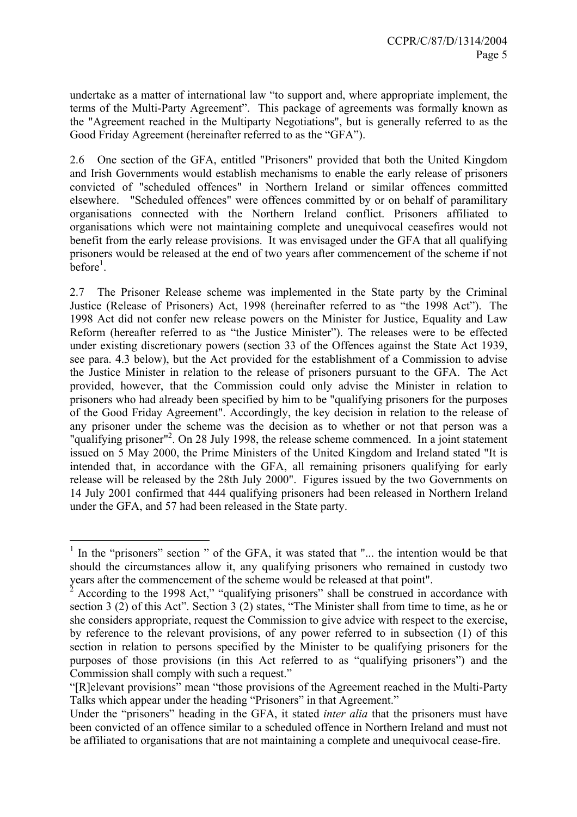undertake as a matter of international law "to support and, where appropriate implement, the terms of the Multi-Party Agreement". This package of agreements was formally known as the "Agreement reached in the Multiparty Negotiations", but is generally referred to as the Good Friday Agreement (hereinafter referred to as the "GFA").

2.6 One section of the GFA, entitled "Prisoners" provided that both the United Kingdom and Irish Governments would establish mechanisms to enable the early release of prisoners convicted of "scheduled offences" in Northern Ireland or similar offences committed elsewhere. "Scheduled offences" were offences committed by or on behalf of paramilitary organisations connected with the Northern Ireland conflict. Prisoners affiliated to organisations which were not maintaining complete and unequivocal ceasefires would not benefit from the early release provisions. It was envisaged under the GFA that all qualifying prisoners would be released at the end of two years after commencement of the scheme if not  $\text{before}^1$ .

2.7 The Prisoner Release scheme was implemented in the State party by the Criminal Justice (Release of Prisoners) Act, 1998 (hereinafter referred to as "the 1998 Act"). The 1998 Act did not confer new release powers on the Minister for Justice, Equality and Law Reform (hereafter referred to as "the Justice Minister"). The releases were to be effected under existing discretionary powers (section 33 of the Offences against the State Act 1939, see para. 4.3 below), but the Act provided for the establishment of a Commission to advise the Justice Minister in relation to the release of prisoners pursuant to the GFA. The Act provided, however, that the Commission could only advise the Minister in relation to prisoners who had already been specified by him to be "qualifying prisoners for the purposes of the Good Friday Agreement". Accordingly, the key decision in relation to the release of any prisoner under the scheme was the decision as to whether or not that person was a "qualifying prisoner"<sup>2</sup>. On 28 July 1998, the release scheme commenced. In a joint statement issued on 5 May 2000, the Prime Ministers of the United Kingdom and Ireland stated "It is intended that, in accordance with the GFA, all remaining prisoners qualifying for early release will be released by the 28th July 2000". Figures issued by the two Governments on 14 July 2001 confirmed that 444 qualifying prisoners had been released in Northern Ireland under the GFA, and 57 had been released in the State party.

 $\overline{a}$ 

<sup>1</sup> In the "prisoners" section " of the GFA, it was stated that "... the intention would be that should the circumstances allow it, any qualifying prisoners who remained in custody two years after the commencement of the scheme would be released at that point".<br><sup>2</sup> According to the 1008 Act<sup>2</sup> "curelifying prisoners" shall be construed in a

According to the 1998 Act," "qualifying prisoners" shall be construed in accordance with section 3 (2) of this Act". Section 3 (2) states, "The Minister shall from time to time, as he or she considers appropriate, request the Commission to give advice with respect to the exercise, by reference to the relevant provisions, of any power referred to in subsection (1) of this section in relation to persons specified by the Minister to be qualifying prisoners for the purposes of those provisions (in this Act referred to as "qualifying prisoners") and the Commission shall comply with such a request."

<sup>&</sup>quot;[R]elevant provisions" mean "those provisions of the Agreement reached in the Multi-Party Talks which appear under the heading "Prisoners" in that Agreement."

Under the "prisoners" heading in the GFA, it stated *inter alia* that the prisoners must have been convicted of an offence similar to a scheduled offence in Northern Ireland and must not be affiliated to organisations that are not maintaining a complete and unequivocal cease-fire.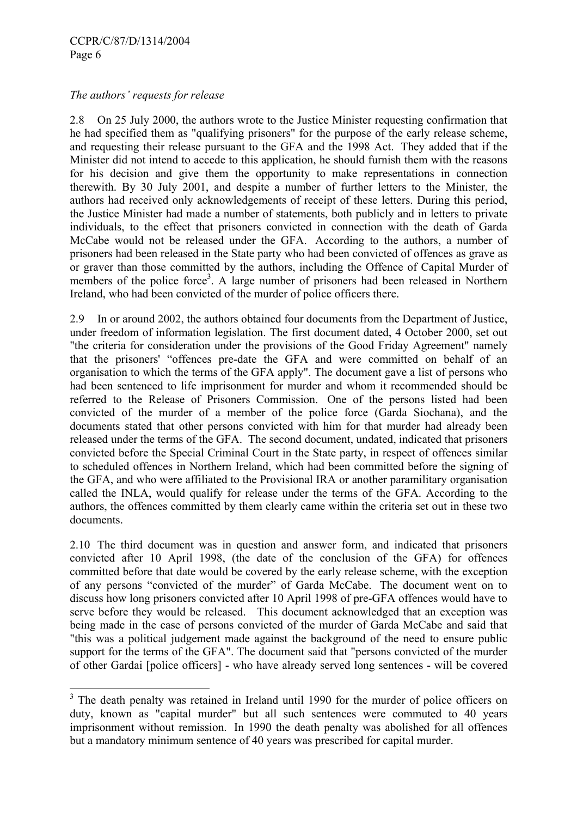$\overline{a}$ 

#### *The authors' requests for release*

2.8 On 25 July 2000, the authors wrote to the Justice Minister requesting confirmation that he had specified them as "qualifying prisoners" for the purpose of the early release scheme, and requesting their release pursuant to the GFA and the 1998 Act. They added that if the Minister did not intend to accede to this application, he should furnish them with the reasons for his decision and give them the opportunity to make representations in connection therewith. By 30 July 2001, and despite a number of further letters to the Minister, the authors had received only acknowledgements of receipt of these letters. During this period, the Justice Minister had made a number of statements, both publicly and in letters to private individuals, to the effect that prisoners convicted in connection with the death of Garda McCabe would not be released under the GFA. According to the authors, a number of prisoners had been released in the State party who had been convicted of offences as grave as or graver than those committed by the authors, including the Offence of Capital Murder of members of the police force<sup>3</sup>. A large number of prisoners had been released in Northern Ireland, who had been convicted of the murder of police officers there.

2.9 In or around 2002, the authors obtained four documents from the Department of Justice, under freedom of information legislation. The first document dated, 4 October 2000, set out "the criteria for consideration under the provisions of the Good Friday Agreement" namely that the prisoners' "offences pre-date the GFA and were committed on behalf of an organisation to which the terms of the GFA apply". The document gave a list of persons who had been sentenced to life imprisonment for murder and whom it recommended should be referred to the Release of Prisoners Commission. One of the persons listed had been convicted of the murder of a member of the police force (Garda Siochana), and the documents stated that other persons convicted with him for that murder had already been released under the terms of the GFA. The second document, undated, indicated that prisoners convicted before the Special Criminal Court in the State party, in respect of offences similar to scheduled offences in Northern Ireland, which had been committed before the signing of the GFA, and who were affiliated to the Provisional IRA or another paramilitary organisation called the INLA, would qualify for release under the terms of the GFA. According to the authors, the offences committed by them clearly came within the criteria set out in these two documents.

2.10 The third document was in question and answer form, and indicated that prisoners convicted after 10 April 1998, (the date of the conclusion of the GFA) for offences committed before that date would be covered by the early release scheme, with the exception of any persons "convicted of the murder" of Garda McCabe. The document went on to discuss how long prisoners convicted after 10 April 1998 of pre-GFA offences would have to serve before they would be released. This document acknowledged that an exception was being made in the case of persons convicted of the murder of Garda McCabe and said that "this was a political judgement made against the background of the need to ensure public support for the terms of the GFA". The document said that "persons convicted of the murder of other Gardai [police officers] - who have already served long sentences - will be covered

<sup>&</sup>lt;sup>3</sup> The death penalty was retained in Ireland until 1990 for the murder of police officers on duty, known as "capital murder" but all such sentences were commuted to 40 years imprisonment without remission. In 1990 the death penalty was abolished for all offences but a mandatory minimum sentence of 40 years was prescribed for capital murder.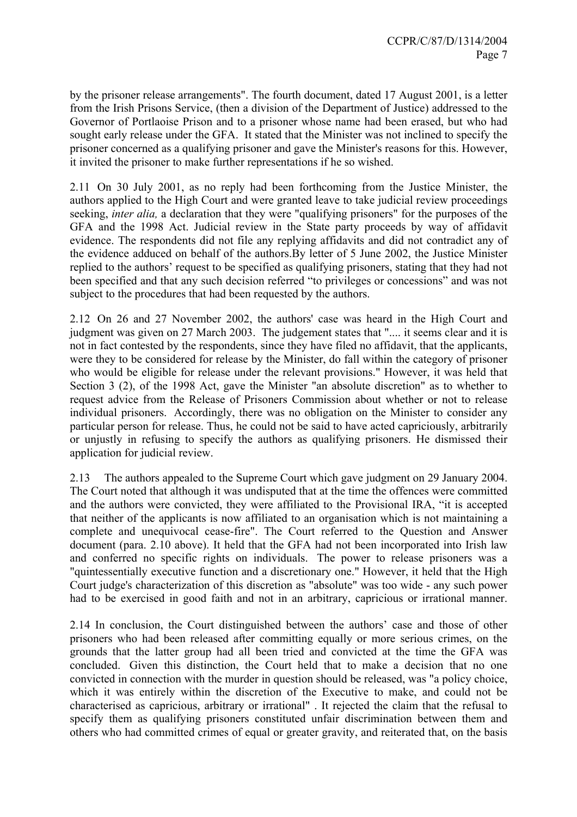by the prisoner release arrangements". The fourth document, dated 17 August 2001, is a letter from the Irish Prisons Service, (then a division of the Department of Justice) addressed to the Governor of Portlaoise Prison and to a prisoner whose name had been erased, but who had sought early release under the GFA. It stated that the Minister was not inclined to specify the prisoner concerned as a qualifying prisoner and gave the Minister's reasons for this. However, it invited the prisoner to make further representations if he so wished.

2.11 On 30 July 2001, as no reply had been forthcoming from the Justice Minister, the authors applied to the High Court and were granted leave to take judicial review proceedings seeking, *inter alia,* a declaration that they were "qualifying prisoners" for the purposes of the GFA and the 1998 Act. Judicial review in the State party proceeds by way of affidavit evidence. The respondents did not file any replying affidavits and did not contradict any of the evidence adduced on behalf of the authors.By letter of 5 June 2002, the Justice Minister replied to the authors' request to be specified as qualifying prisoners, stating that they had not been specified and that any such decision referred "to privileges or concessions" and was not subject to the procedures that had been requested by the authors.

2.12 On 26 and 27 November 2002, the authors' case was heard in the High Court and judgment was given on 27 March 2003. The judgement states that ".... it seems clear and it is not in fact contested by the respondents, since they have filed no affidavit, that the applicants, were they to be considered for release by the Minister, do fall within the category of prisoner who would be eligible for release under the relevant provisions." However, it was held that Section 3 (2), of the 1998 Act, gave the Minister "an absolute discretion" as to whether to request advice from the Release of Prisoners Commission about whether or not to release individual prisoners. Accordingly, there was no obligation on the Minister to consider any particular person for release. Thus, he could not be said to have acted capriciously, arbitrarily or unjustly in refusing to specify the authors as qualifying prisoners. He dismissed their application for judicial review.

2.13 The authors appealed to the Supreme Court which gave judgment on 29 January 2004. The Court noted that although it was undisputed that at the time the offences were committed and the authors were convicted, they were affiliated to the Provisional IRA, "it is accepted that neither of the applicants is now affiliated to an organisation which is not maintaining a complete and unequivocal cease-fire". The Court referred to the Question and Answer document (para. 2.10 above). It held that the GFA had not been incorporated into Irish law and conferred no specific rights on individuals. The power to release prisoners was a "quintessentially executive function and a discretionary one." However, it held that the High Court judge's characterization of this discretion as "absolute" was too wide - any such power had to be exercised in good faith and not in an arbitrary, capricious or irrational manner.

2.14 In conclusion, the Court distinguished between the authors' case and those of other prisoners who had been released after committing equally or more serious crimes, on the grounds that the latter group had all been tried and convicted at the time the GFA was concluded. Given this distinction, the Court held that to make a decision that no one convicted in connection with the murder in question should be released, was "a policy choice, which it was entirely within the discretion of the Executive to make, and could not be characterised as capricious, arbitrary or irrational" . It rejected the claim that the refusal to specify them as qualifying prisoners constituted unfair discrimination between them and others who had committed crimes of equal or greater gravity, and reiterated that, on the basis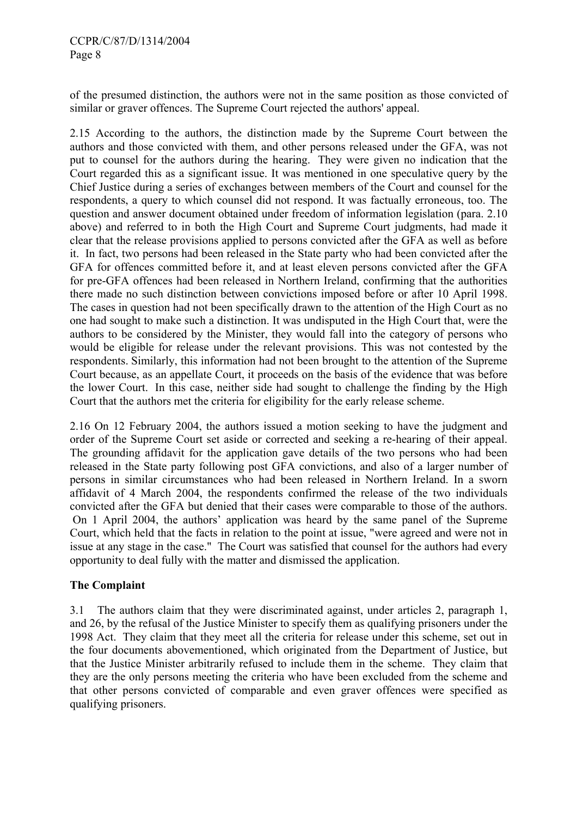of the presumed distinction, the authors were not in the same position as those convicted of similar or graver offences. The Supreme Court rejected the authors' appeal.

2.15 According to the authors, the distinction made by the Supreme Court between the authors and those convicted with them, and other persons released under the GFA, was not put to counsel for the authors during the hearing. They were given no indication that the Court regarded this as a significant issue. It was mentioned in one speculative query by the Chief Justice during a series of exchanges between members of the Court and counsel for the respondents, a query to which counsel did not respond. It was factually erroneous, too. The question and answer document obtained under freedom of information legislation (para. 2.10 above) and referred to in both the High Court and Supreme Court judgments, had made it clear that the release provisions applied to persons convicted after the GFA as well as before it. In fact, two persons had been released in the State party who had been convicted after the GFA for offences committed before it, and at least eleven persons convicted after the GFA for pre-GFA offences had been released in Northern Ireland, confirming that the authorities there made no such distinction between convictions imposed before or after 10 April 1998. The cases in question had not been specifically drawn to the attention of the High Court as no one had sought to make such a distinction. It was undisputed in the High Court that, were the authors to be considered by the Minister, they would fall into the category of persons who would be eligible for release under the relevant provisions. This was not contested by the respondents. Similarly, this information had not been brought to the attention of the Supreme Court because, as an appellate Court, it proceeds on the basis of the evidence that was before the lower Court. In this case, neither side had sought to challenge the finding by the High Court that the authors met the criteria for eligibility for the early release scheme.

2.16 On 12 February 2004, the authors issued a motion seeking to have the judgment and order of the Supreme Court set aside or corrected and seeking a re-hearing of their appeal. The grounding affidavit for the application gave details of the two persons who had been released in the State party following post GFA convictions, and also of a larger number of persons in similar circumstances who had been released in Northern Ireland. In a sworn affidavit of 4 March 2004, the respondents confirmed the release of the two individuals convicted after the GFA but denied that their cases were comparable to those of the authors. On 1 April 2004, the authors' application was heard by the same panel of the Supreme Court, which held that the facts in relation to the point at issue, "were agreed and were not in issue at any stage in the case." The Court was satisfied that counsel for the authors had every opportunity to deal fully with the matter and dismissed the application.

#### **The Complaint**

3.1 The authors claim that they were discriminated against, under articles 2, paragraph 1, and 26, by the refusal of the Justice Minister to specify them as qualifying prisoners under the 1998 Act. They claim that they meet all the criteria for release under this scheme, set out in the four documents abovementioned, which originated from the Department of Justice, but that the Justice Minister arbitrarily refused to include them in the scheme. They claim that they are the only persons meeting the criteria who have been excluded from the scheme and that other persons convicted of comparable and even graver offences were specified as qualifying prisoners.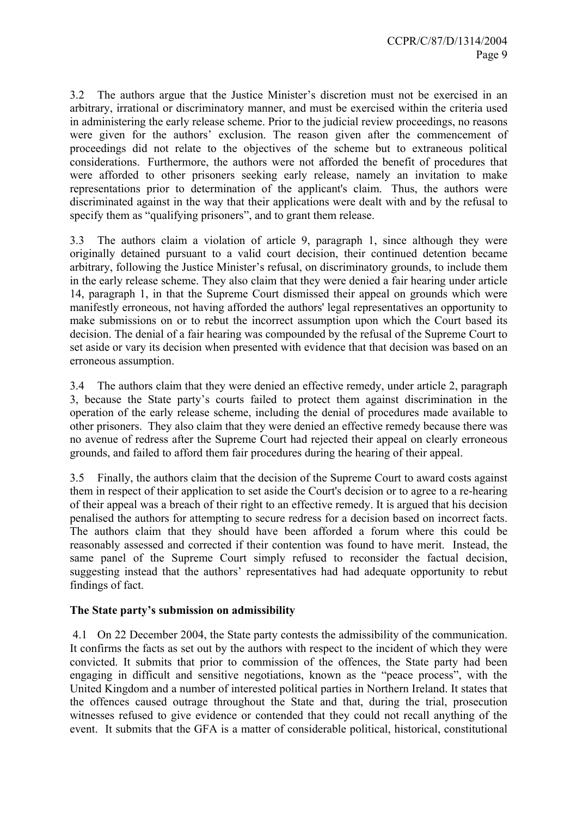3.2 The authors argue that the Justice Minister's discretion must not be exercised in an arbitrary, irrational or discriminatory manner, and must be exercised within the criteria used in administering the early release scheme. Prior to the judicial review proceedings, no reasons were given for the authors' exclusion. The reason given after the commencement of proceedings did not relate to the objectives of the scheme but to extraneous political considerations. Furthermore, the authors were not afforded the benefit of procedures that were afforded to other prisoners seeking early release, namely an invitation to make representations prior to determination of the applicant's claim. Thus, the authors were discriminated against in the way that their applications were dealt with and by the refusal to specify them as "qualifying prisoners", and to grant them release.

3.3 The authors claim a violation of article 9, paragraph 1, since although they were originally detained pursuant to a valid court decision, their continued detention became arbitrary, following the Justice Minister's refusal, on discriminatory grounds, to include them in the early release scheme. They also claim that they were denied a fair hearing under article 14, paragraph 1, in that the Supreme Court dismissed their appeal on grounds which were manifestly erroneous, not having afforded the authors' legal representatives an opportunity to make submissions on or to rebut the incorrect assumption upon which the Court based its decision. The denial of a fair hearing was compounded by the refusal of the Supreme Court to set aside or vary its decision when presented with evidence that that decision was based on an erroneous assumption.

3.4 The authors claim that they were denied an effective remedy, under article 2, paragraph 3, because the State party's courts failed to protect them against discrimination in the operation of the early release scheme, including the denial of procedures made available to other prisoners. They also claim that they were denied an effective remedy because there was no avenue of redress after the Supreme Court had rejected their appeal on clearly erroneous grounds, and failed to afford them fair procedures during the hearing of their appeal.

3.5 Finally, the authors claim that the decision of the Supreme Court to award costs against them in respect of their application to set aside the Court's decision or to agree to a re-hearing of their appeal was a breach of their right to an effective remedy. It is argued that his decision penalised the authors for attempting to secure redress for a decision based on incorrect facts. The authors claim that they should have been afforded a forum where this could be reasonably assessed and corrected if their contention was found to have merit. Instead, the same panel of the Supreme Court simply refused to reconsider the factual decision, suggesting instead that the authors' representatives had had adequate opportunity to rebut findings of fact.

#### **The State party's submission on admissibility**

 4.1 On 22 December 2004, the State party contests the admissibility of the communication. It confirms the facts as set out by the authors with respect to the incident of which they were convicted. It submits that prior to commission of the offences, the State party had been engaging in difficult and sensitive negotiations, known as the "peace process", with the United Kingdom and a number of interested political parties in Northern Ireland. It states that the offences caused outrage throughout the State and that, during the trial, prosecution witnesses refused to give evidence or contended that they could not recall anything of the event. It submits that the GFA is a matter of considerable political, historical, constitutional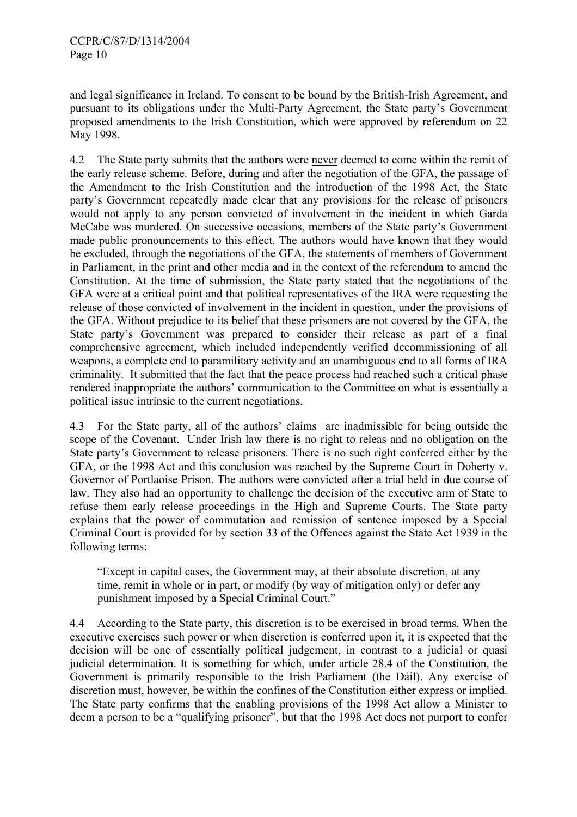and legal significance in Ireland. To consent to be bound by the British-Irish Agreement, and pursuant to its obligations under the Multi-Party Agreement, the State party's Government proposed amendments to the Irish Constitution, which were approved by referendum on 22 May 1998.

4.2 The State party submits that the authors were never deemed to come within the remit of the early release scheme. Before, during and after the negotiation of the GFA, the passage of the Amendment to the Irish Constitution and the introduction of the 1998 Act, the State party's Government repeatedly made clear that any provisions for the release of prisoners would not apply to any person convicted of involvement in the incident in which Garda McCabe was murdered. On successive occasions, members of the State party's Government made public pronouncements to this effect. The authors would have known that they would be excluded, through the negotiations of the GFA, the statements of members of Government in Parliament, in the print and other media and in the context of the referendum to amend the Constitution. At the time of submission, the State party stated that the negotiations of the GFA were at a critical point and that political representatives of the IRA were requesting the release of those convicted of involvement in the incident in question, under the provisions of the GFA. Without prejudice to its belief that these prisoners are not covered by the GFA, the State party's Government was prepared to consider their release as part of a final comprehensive agreement, which included independently verified decommissioning of all weapons, a complete end to paramilitary activity and an unambiguous end to all forms of IRA criminality. It submitted that the fact that the peace process had reached such a critical phase rendered inappropriate the authors' communication to the Committee on what is essentially a political issue intrinsic to the current negotiations.

4.3 For the State party, all of the authors' claims are inadmissible for being outside the scope of the Covenant. Under Irish law there is no right to releas and no obligation on the State party's Government to release prisoners. There is no such right conferred either by the GFA, or the 1998 Act and this conclusion was reached by the Supreme Court in Doherty v. Governor of Portlaoise Prison. The authors were convicted after a trial held in due course of law. They also had an opportunity to challenge the decision of the executive arm of State to refuse them early release proceedings in the High and Supreme Courts. The State party explains that the power of commutation and remission of sentence imposed by a Special Criminal Court is provided for by section 33 of the Offences against the State Act 1939 in the following terms:

"Except in capital cases, the Government may, at their absolute discretion, at any time, remit in whole or in part, or modify (by way of mitigation only) or defer any punishment imposed by a Special Criminal Court."

4.4 According to the State party, this discretion is to be exercised in broad terms. When the executive exercises such power or when discretion is conferred upon it, it is expected that the decision will be one of essentially political judgement, in contrast to a judicial or quasi judicial determination. It is something for which, under article 28.4 of the Constitution, the Government is primarily responsible to the Irish Parliament (the Dáil). Any exercise of discretion must, however, be within the confines of the Constitution either express or implied. The State party confirms that the enabling provisions of the 1998 Act allow a Minister to deem a person to be a "qualifying prisoner", but that the 1998 Act does not purport to confer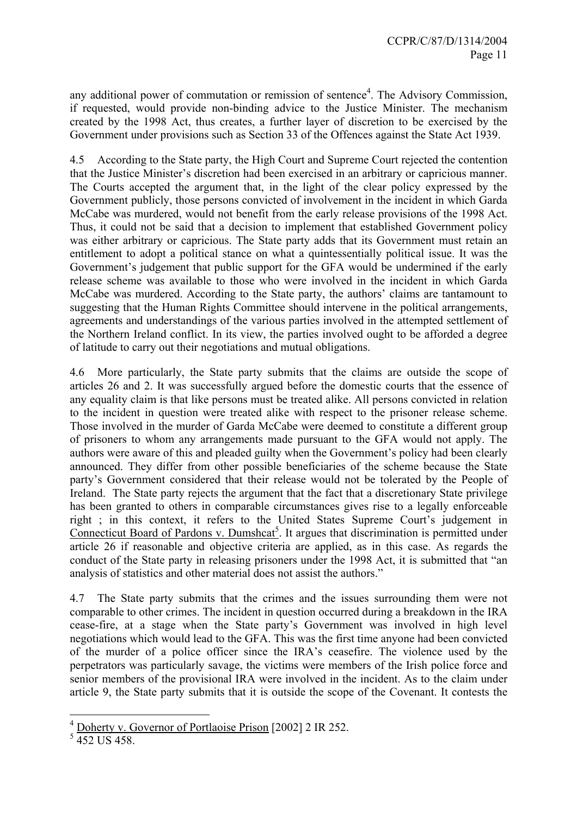any additional power of commutation or remission of sentence<sup>4</sup>. The Advisory Commission, if requested, would provide non-binding advice to the Justice Minister. The mechanism created by the 1998 Act, thus creates, a further layer of discretion to be exercised by the Government under provisions such as Section 33 of the Offences against the State Act 1939.

4.5 According to the State party, the High Court and Supreme Court rejected the contention that the Justice Minister's discretion had been exercised in an arbitrary or capricious manner. The Courts accepted the argument that, in the light of the clear policy expressed by the Government publicly, those persons convicted of involvement in the incident in which Garda McCabe was murdered, would not benefit from the early release provisions of the 1998 Act. Thus, it could not be said that a decision to implement that established Government policy was either arbitrary or capricious. The State party adds that its Government must retain an entitlement to adopt a political stance on what a quintessentially political issue. It was the Government's judgement that public support for the GFA would be undermined if the early release scheme was available to those who were involved in the incident in which Garda McCabe was murdered. According to the State party, the authors' claims are tantamount to suggesting that the Human Rights Committee should intervene in the political arrangements, agreements and understandings of the various parties involved in the attempted settlement of the Northern Ireland conflict. In its view, the parties involved ought to be afforded a degree of latitude to carry out their negotiations and mutual obligations.

4.6 More particularly, the State party submits that the claims are outside the scope of articles 26 and 2. It was successfully argued before the domestic courts that the essence of any equality claim is that like persons must be treated alike. All persons convicted in relation to the incident in question were treated alike with respect to the prisoner release scheme. Those involved in the murder of Garda McCabe were deemed to constitute a different group of prisoners to whom any arrangements made pursuant to the GFA would not apply. The authors were aware of this and pleaded guilty when the Government's policy had been clearly announced. They differ from other possible beneficiaries of the scheme because the State party's Government considered that their release would not be tolerated by the People of Ireland. The State party rejects the argument that the fact that a discretionary State privilege has been granted to others in comparable circumstances gives rise to a legally enforceable right ; in this context, it refers to the United States Supreme Court's judgement in Connecticut Board of Pardons v. Dumshcat<sup>5</sup>. It argues that discrimination is permitted under article 26 if reasonable and objective criteria are applied, as in this case. As regards the conduct of the State party in releasing prisoners under the 1998 Act, it is submitted that "an analysis of statistics and other material does not assist the authors."

4.7 The State party submits that the crimes and the issues surrounding them were not comparable to other crimes. The incident in question occurred during a breakdown in the IRA cease-fire, at a stage when the State party's Government was involved in high level negotiations which would lead to the GFA. This was the first time anyone had been convicted of the murder of a police officer since the IRA's ceasefire. The violence used by the perpetrators was particularly savage, the victims were members of the Irish police force and senior members of the provisional IRA were involved in the incident. As to the claim under article 9, the State party submits that it is outside the scope of the Covenant. It contests the

 $\overline{a}$ 

<sup>&</sup>lt;sup>4</sup> Doherty v. Governor of Portlaoise Prison [2002] 2 IR 252.

<sup>&</sup>lt;sup>5</sup> 452 US 458.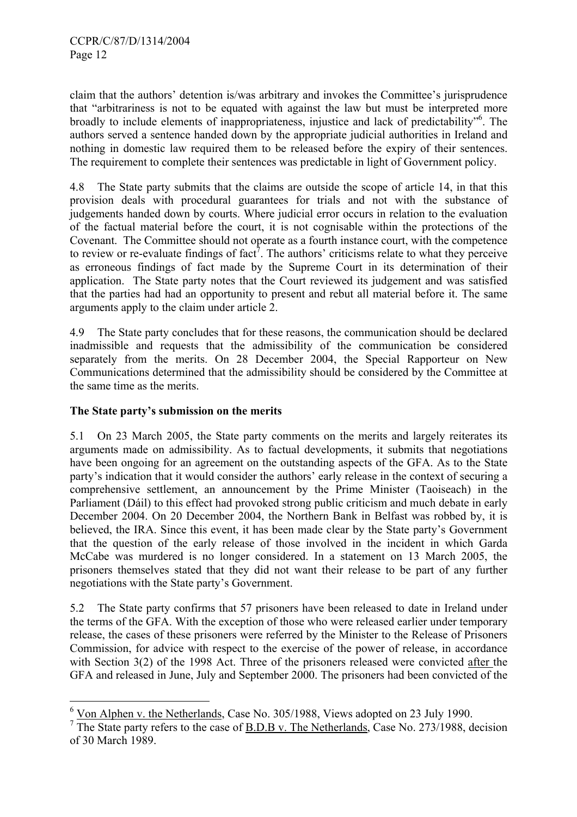claim that the authors' detention is/was arbitrary and invokes the Committee's jurisprudence that "arbitrariness is not to be equated with against the law but must be interpreted more broadly to include elements of inappropriateness, injustice and lack of predictability<sup>56</sup>. The authors served a sentence handed down by the appropriate judicial authorities in Ireland and nothing in domestic law required them to be released before the expiry of their sentences. The requirement to complete their sentences was predictable in light of Government policy.

4.8 The State party submits that the claims are outside the scope of article 14, in that this provision deals with procedural guarantees for trials and not with the substance of judgements handed down by courts. Where judicial error occurs in relation to the evaluation of the factual material before the court, it is not cognisable within the protections of the Covenant. The Committee should not operate as a fourth instance court, with the competence to review or re-evaluate findings of fact<sup>7</sup>. The authors' criticisms relate to what they perceive as erroneous findings of fact made by the Supreme Court in its determination of their application. The State party notes that the Court reviewed its judgement and was satisfied that the parties had had an opportunity to present and rebut all material before it. The same arguments apply to the claim under article 2.

4.9 The State party concludes that for these reasons, the communication should be declared inadmissible and requests that the admissibility of the communication be considered separately from the merits. On 28 December 2004, the Special Rapporteur on New Communications determined that the admissibility should be considered by the Committee at the same time as the merits.

#### **The State party's submission on the merits**

 $\overline{a}$ 

5.1 On 23 March 2005, the State party comments on the merits and largely reiterates its arguments made on admissibility. As to factual developments, it submits that negotiations have been ongoing for an agreement on the outstanding aspects of the GFA. As to the State party's indication that it would consider the authors' early release in the context of securing a comprehensive settlement, an announcement by the Prime Minister (Taoiseach) in the Parliament (Dáil) to this effect had provoked strong public criticism and much debate in early December 2004. On 20 December 2004, the Northern Bank in Belfast was robbed by, it is believed, the IRA. Since this event, it has been made clear by the State party's Government that the question of the early release of those involved in the incident in which Garda McCabe was murdered is no longer considered. In a statement on 13 March 2005, the prisoners themselves stated that they did not want their release to be part of any further negotiations with the State party's Government.

5.2 The State party confirms that 57 prisoners have been released to date in Ireland under the terms of the GFA. With the exception of those who were released earlier under temporary release, the cases of these prisoners were referred by the Minister to the Release of Prisoners Commission, for advice with respect to the exercise of the power of release, in accordance with Section 3(2) of the 1998 Act. Three of the prisoners released were convicted after the GFA and released in June, July and September 2000. The prisoners had been convicted of the

 $6$  Von Alphen v. the Netherlands, Case No. 305/1988, Views adopted on 23 July 1990.

 $\sqrt{7}$  The State party refers to the case of <u>B.D.B v. The Netherlands</u>, Case No. 273/1988, decision of 30 March 1989.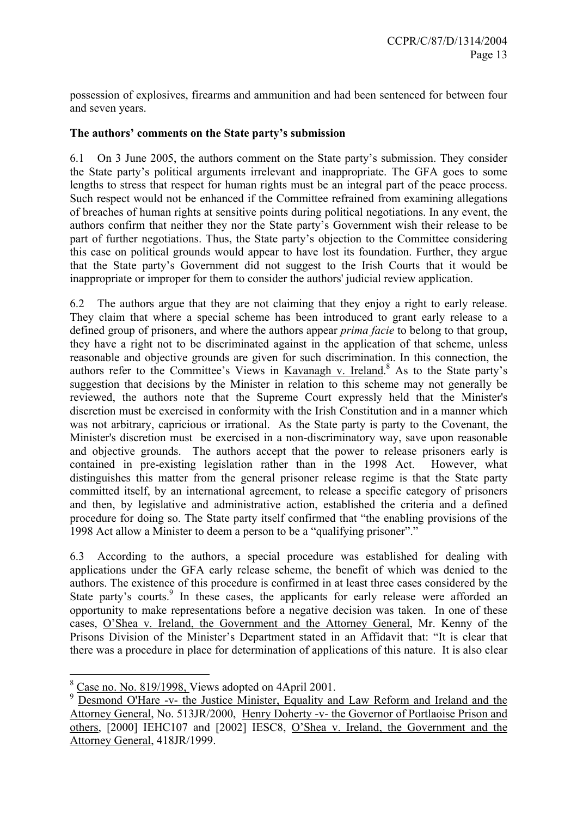possession of explosives, firearms and ammunition and had been sentenced for between four and seven years.

#### **The authors' comments on the State party's submission**

6.1 On 3 June 2005, the authors comment on the State party's submission. They consider the State party's political arguments irrelevant and inappropriate. The GFA goes to some lengths to stress that respect for human rights must be an integral part of the peace process. Such respect would not be enhanced if the Committee refrained from examining allegations of breaches of human rights at sensitive points during political negotiations. In any event, the authors confirm that neither they nor the State party's Government wish their release to be part of further negotiations. Thus, the State party's objection to the Committee considering this case on political grounds would appear to have lost its foundation. Further, they argue that the State party's Government did not suggest to the Irish Courts that it would be inappropriate or improper for them to consider the authors' judicial review application.

6.2 The authors argue that they are not claiming that they enjoy a right to early release. They claim that where a special scheme has been introduced to grant early release to a defined group of prisoners, and where the authors appear *prima facie* to belong to that group, they have a right not to be discriminated against in the application of that scheme, unless reasonable and objective grounds are given for such discrimination. In this connection, the authors refer to the Committee's Views in Kavanagh v. Ireland.<sup>8</sup> As to the State party's suggestion that decisions by the Minister in relation to this scheme may not generally be reviewed, the authors note that the Supreme Court expressly held that the Minister's discretion must be exercised in conformity with the Irish Constitution and in a manner which was not arbitrary, capricious or irrational. As the State party is party to the Covenant, the Minister's discretion must be exercised in a non-discriminatory way, save upon reasonable and objective grounds. The authors accept that the power to release prisoners early is contained in pre-existing legislation rather than in the 1998 Act. However, what distinguishes this matter from the general prisoner release regime is that the State party committed itself, by an international agreement, to release a specific category of prisoners and then, by legislative and administrative action, established the criteria and a defined procedure for doing so. The State party itself confirmed that "the enabling provisions of the 1998 Act allow a Minister to deem a person to be a "qualifying prisoner"."

6.3 According to the authors, a special procedure was established for dealing with applications under the GFA early release scheme, the benefit of which was denied to the authors. The existence of this procedure is confirmed in at least three cases considered by the State party's courts.<sup>9</sup> In these cases, the applicants for early release were afforded an opportunity to make representations before a negative decision was taken. In one of these cases, O'Shea v. Ireland, the Government and the Attorney General, Mr. Kenny of the Prisons Division of the Minister's Department stated in an Affidavit that: "It is clear that there was a procedure in place for determination of applications of this nature. It is also clear

 $\frac{8}{\text{Case no. No. }819/1998}$ , Views adopted on 4April 2001.

<sup>&</sup>lt;sup>9</sup> Desmond O'Hare -v- the Justice Minister, Equality and Law Reform and Ireland and the Attorney General, No. 513JR/2000, Henry Doherty -v- the Governor of Portlaoise Prison and others, [2000] IEHC107 and [2002] IESC8, O'Shea v. Ireland, the Government and the Attorney General, 418JR/1999.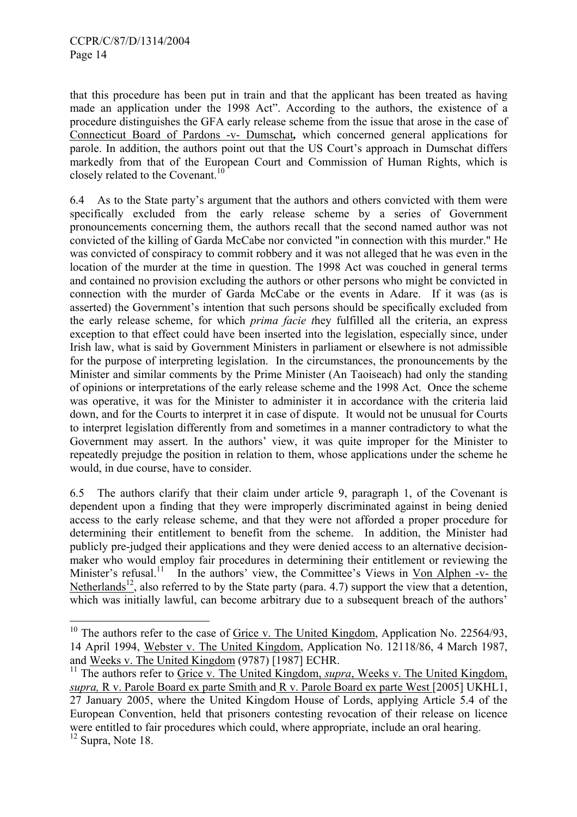that this procedure has been put in train and that the applicant has been treated as having made an application under the 1998 Act". According to the authors, the existence of a procedure distinguishes the GFA early release scheme from the issue that arose in the case of Connecticut Board of Pardons -v- Dumschat*,* which concerned general applications for parole. In addition, the authors point out that the US Court's approach in Dumschat differs markedly from that of the European Court and Commission of Human Rights, which is closely related to the Covenant.<sup>10</sup>

6.4 As to the State party's argument that the authors and others convicted with them were specifically excluded from the early release scheme by a series of Government pronouncements concerning them, the authors recall that the second named author was not convicted of the killing of Garda McCabe nor convicted "in connection with this murder." He was convicted of conspiracy to commit robbery and it was not alleged that he was even in the location of the murder at the time in question. The 1998 Act was couched in general terms and contained no provision excluding the authors or other persons who might be convicted in connection with the murder of Garda McCabe or the events in Adare. If it was (as is asserted) the Government's intention that such persons should be specifically excluded from the early release scheme, for which *prima facie t*hey fulfilled all the criteria, an express exception to that effect could have been inserted into the legislation, especially since, under Irish law, what is said by Government Ministers in parliament or elsewhere is not admissible for the purpose of interpreting legislation. In the circumstances, the pronouncements by the Minister and similar comments by the Prime Minister (An Taoiseach) had only the standing of opinions or interpretations of the early release scheme and the 1998 Act. Once the scheme was operative, it was for the Minister to administer it in accordance with the criteria laid down, and for the Courts to interpret it in case of dispute. It would not be unusual for Courts to interpret legislation differently from and sometimes in a manner contradictory to what the Government may assert. In the authors' view, it was quite improper for the Minister to repeatedly prejudge the position in relation to them, whose applications under the scheme he would, in due course, have to consider.

6.5 The authors clarify that their claim under article 9, paragraph 1, of the Covenant is dependent upon a finding that they were improperly discriminated against in being denied access to the early release scheme, and that they were not afforded a proper procedure for determining their entitlement to benefit from the scheme. In addition, the Minister had publicly pre-judged their applications and they were denied access to an alternative decisionmaker who would employ fair procedures in determining their entitlement or reviewing the Minister's refusal.<sup>11</sup> In the authors' view, the Committee's Views in <u>Von Alphen -v- the</u> Netherlands<sup>12</sup>, also referred to by the State party (para. 4.7) support the view that a detention, which was initially lawful, can become arbitrary due to a subsequent breach of the authors'

 $\overline{a}$ 

<sup>&</sup>lt;sup>10</sup> The authors refer to the case of Grice v. The United Kingdom, Application No. 22564/93, 14 April 1994, Webster v. The United Kingdom, Application No. 12118/86, 4 March 1987, and Weeks v. The United Kingdom (9787) [1987] ECHR.

<sup>&</sup>lt;sup>11</sup> The authors refer to Grice v. The United Kingdom, *supra*, Weeks v. The United Kingdom, *supra,* R v. Parole Board ex parte Smith and R v. Parole Board ex parte West [2005] UKHL1, 27 January 2005, where the United Kingdom House of Lords, applying Article 5.4 of the European Convention, held that prisoners contesting revocation of their release on licence were entitled to fair procedures which could, where appropriate, include an oral hearing.

 $12$  Supra, Note 18.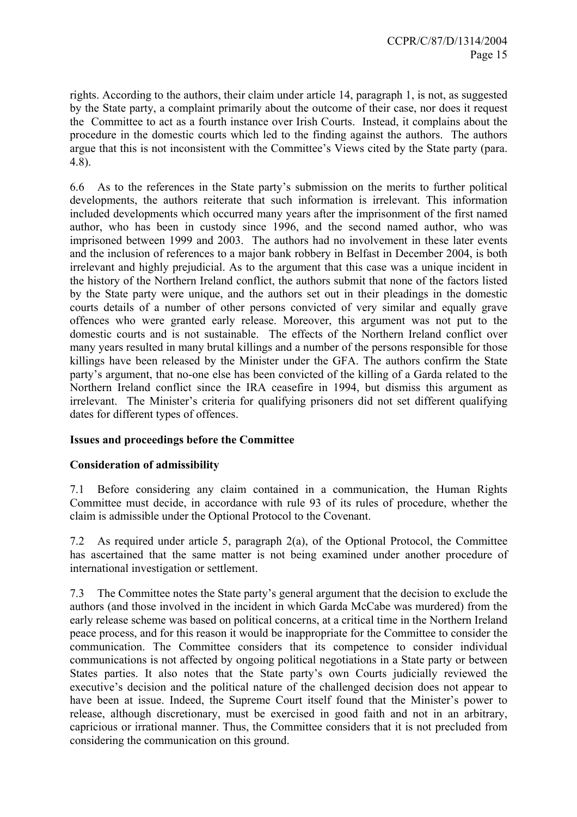rights. According to the authors, their claim under article 14, paragraph 1, is not, as suggested by the State party, a complaint primarily about the outcome of their case, nor does it request the Committee to act as a fourth instance over Irish Courts. Instead, it complains about the procedure in the domestic courts which led to the finding against the authors. The authors argue that this is not inconsistent with the Committee's Views cited by the State party (para. 4.8).

6.6 As to the references in the State party's submission on the merits to further political developments, the authors reiterate that such information is irrelevant. This information included developments which occurred many years after the imprisonment of the first named author, who has been in custody since 1996, and the second named author, who was imprisoned between 1999 and 2003. The authors had no involvement in these later events and the inclusion of references to a major bank robbery in Belfast in December 2004, is both irrelevant and highly prejudicial. As to the argument that this case was a unique incident in the history of the Northern Ireland conflict, the authors submit that none of the factors listed by the State party were unique, and the authors set out in their pleadings in the domestic courts details of a number of other persons convicted of very similar and equally grave offences who were granted early release. Moreover, this argument was not put to the domestic courts and is not sustainable. The effects of the Northern Ireland conflict over many years resulted in many brutal killings and a number of the persons responsible for those killings have been released by the Minister under the GFA. The authors confirm the State party's argument, that no-one else has been convicted of the killing of a Garda related to the Northern Ireland conflict since the IRA ceasefire in 1994, but dismiss this argument as irrelevant. The Minister's criteria for qualifying prisoners did not set different qualifying dates for different types of offences.

#### **Issues and proceedings before the Committee**

#### **Consideration of admissibility**

7.1 Before considering any claim contained in a communication, the Human Rights Committee must decide, in accordance with rule 93 of its rules of procedure, whether the claim is admissible under the Optional Protocol to the Covenant.

7.2 As required under article 5, paragraph 2(a), of the Optional Protocol, the Committee has ascertained that the same matter is not being examined under another procedure of international investigation or settlement.

7.3 The Committee notes the State party's general argument that the decision to exclude the authors (and those involved in the incident in which Garda McCabe was murdered) from the early release scheme was based on political concerns, at a critical time in the Northern Ireland peace process, and for this reason it would be inappropriate for the Committee to consider the communication. The Committee considers that its competence to consider individual communications is not affected by ongoing political negotiations in a State party or between States parties. It also notes that the State party's own Courts judicially reviewed the executive's decision and the political nature of the challenged decision does not appear to have been at issue. Indeed, the Supreme Court itself found that the Minister's power to release, although discretionary, must be exercised in good faith and not in an arbitrary, capricious or irrational manner. Thus, the Committee considers that it is not precluded from considering the communication on this ground.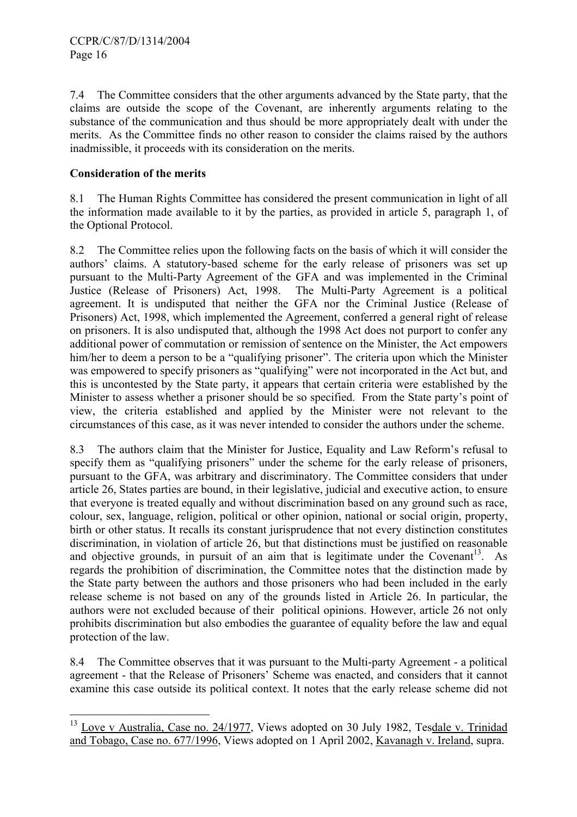7.4 The Committee considers that the other arguments advanced by the State party, that the claims are outside the scope of the Covenant, are inherently arguments relating to the substance of the communication and thus should be more appropriately dealt with under the merits. As the Committee finds no other reason to consider the claims raised by the authors inadmissible, it proceeds with its consideration on the merits.

#### **Consideration of the merits**

 $\overline{a}$ 

8.1 The Human Rights Committee has considered the present communication in light of all the information made available to it by the parties, as provided in article 5, paragraph 1, of the Optional Protocol.

8.2 The Committee relies upon the following facts on the basis of which it will consider the authors' claims. A statutory-based scheme for the early release of prisoners was set up pursuant to the Multi-Party Agreement of the GFA and was implemented in the Criminal Justice (Release of Prisoners) Act, 1998. The Multi-Party Agreement is a political agreement. It is undisputed that neither the GFA nor the Criminal Justice (Release of Prisoners) Act, 1998, which implemented the Agreement, conferred a general right of release on prisoners. It is also undisputed that, although the 1998 Act does not purport to confer any additional power of commutation or remission of sentence on the Minister, the Act empowers him/her to deem a person to be a "qualifying prisoner". The criteria upon which the Minister was empowered to specify prisoners as "qualifying" were not incorporated in the Act but, and this is uncontested by the State party, it appears that certain criteria were established by the Minister to assess whether a prisoner should be so specified. From the State party's point of view, the criteria established and applied by the Minister were not relevant to the circumstances of this case, as it was never intended to consider the authors under the scheme.

8.3 The authors claim that the Minister for Justice, Equality and Law Reform's refusal to specify them as "qualifying prisoners" under the scheme for the early release of prisoners, pursuant to the GFA, was arbitrary and discriminatory. The Committee considers that under article 26, States parties are bound, in their legislative, judicial and executive action, to ensure that everyone is treated equally and without discrimination based on any ground such as race, colour, sex, language, religion, political or other opinion, national or social origin, property, birth or other status. It recalls its constant jurisprudence that not every distinction constitutes discrimination, in violation of article 26, but that distinctions must be justified on reasonable and objective grounds, in pursuit of an aim that is legitimate under the Covenant<sup>13</sup>. As regards the prohibition of discrimination, the Committee notes that the distinction made by the State party between the authors and those prisoners who had been included in the early release scheme is not based on any of the grounds listed in Article 26. In particular, the authors were not excluded because of their political opinions. However, article 26 not only prohibits discrimination but also embodies the guarantee of equality before the law and equal protection of the law.

8.4 The Committee observes that it was pursuant to the Multi-party Agreement - a political agreement - that the Release of Prisoners' Scheme was enacted, and considers that it cannot examine this case outside its political context. It notes that the early release scheme did not

<sup>&</sup>lt;sup>13</sup> Love v Australia, Case no. 24/1977, Views adopted on 30 July 1982, Tesdale v. Trinidad and Tobago, Case no. 677/1996, Views adopted on 1 April 2002, Kavanagh v. Ireland, supra.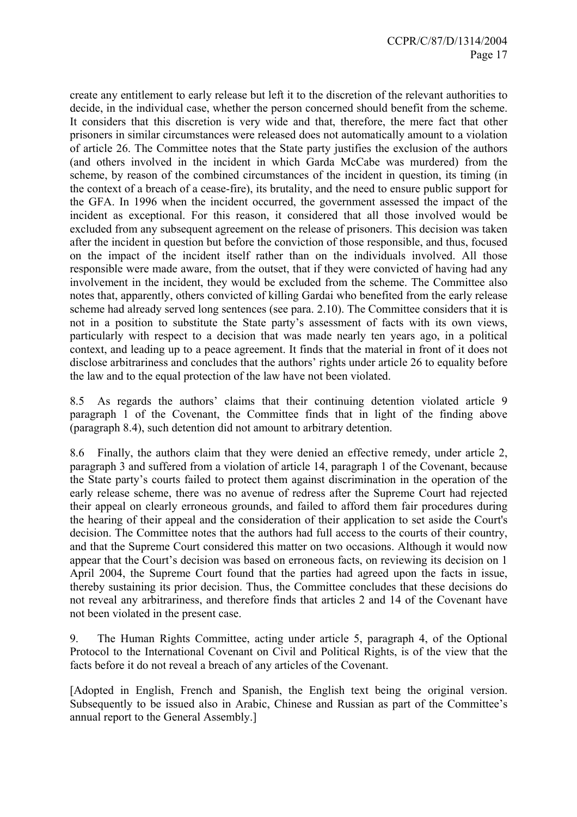create any entitlement to early release but left it to the discretion of the relevant authorities to decide, in the individual case, whether the person concerned should benefit from the scheme. It considers that this discretion is very wide and that, therefore, the mere fact that other prisoners in similar circumstances were released does not automatically amount to a violation of article 26. The Committee notes that the State party justifies the exclusion of the authors (and others involved in the incident in which Garda McCabe was murdered) from the scheme, by reason of the combined circumstances of the incident in question, its timing (in the context of a breach of a cease-fire), its brutality, and the need to ensure public support for the GFA. In 1996 when the incident occurred, the government assessed the impact of the incident as exceptional. For this reason, it considered that all those involved would be excluded from any subsequent agreement on the release of prisoners. This decision was taken after the incident in question but before the conviction of those responsible, and thus, focused on the impact of the incident itself rather than on the individuals involved. All those responsible were made aware, from the outset, that if they were convicted of having had any involvement in the incident, they would be excluded from the scheme. The Committee also notes that, apparently, others convicted of killing Gardai who benefited from the early release scheme had already served long sentences (see para. 2.10). The Committee considers that it is not in a position to substitute the State party's assessment of facts with its own views, particularly with respect to a decision that was made nearly ten years ago, in a political context, and leading up to a peace agreement. It finds that the material in front of it does not disclose arbitrariness and concludes that the authors' rights under article 26 to equality before the law and to the equal protection of the law have not been violated.

8.5 As regards the authors' claims that their continuing detention violated article 9 paragraph 1 of the Covenant, the Committee finds that in light of the finding above (paragraph 8.4), such detention did not amount to arbitrary detention.

8.6 Finally, the authors claim that they were denied an effective remedy, under article 2, paragraph 3 and suffered from a violation of article 14, paragraph 1 of the Covenant, because the State party's courts failed to protect them against discrimination in the operation of the early release scheme, there was no avenue of redress after the Supreme Court had rejected their appeal on clearly erroneous grounds, and failed to afford them fair procedures during the hearing of their appeal and the consideration of their application to set aside the Court's decision. The Committee notes that the authors had full access to the courts of their country, and that the Supreme Court considered this matter on two occasions. Although it would now appear that the Court's decision was based on erroneous facts, on reviewing its decision on 1 April 2004, the Supreme Court found that the parties had agreed upon the facts in issue, thereby sustaining its prior decision. Thus, the Committee concludes that these decisions do not reveal any arbitrariness, and therefore finds that articles 2 and 14 of the Covenant have not been violated in the present case.

9. The Human Rights Committee, acting under article 5, paragraph 4, of the Optional Protocol to the International Covenant on Civil and Political Rights, is of the view that the facts before it do not reveal a breach of any articles of the Covenant.

[Adopted in English, French and Spanish, the English text being the original version. Subsequently to be issued also in Arabic, Chinese and Russian as part of the Committee's annual report to the General Assembly.]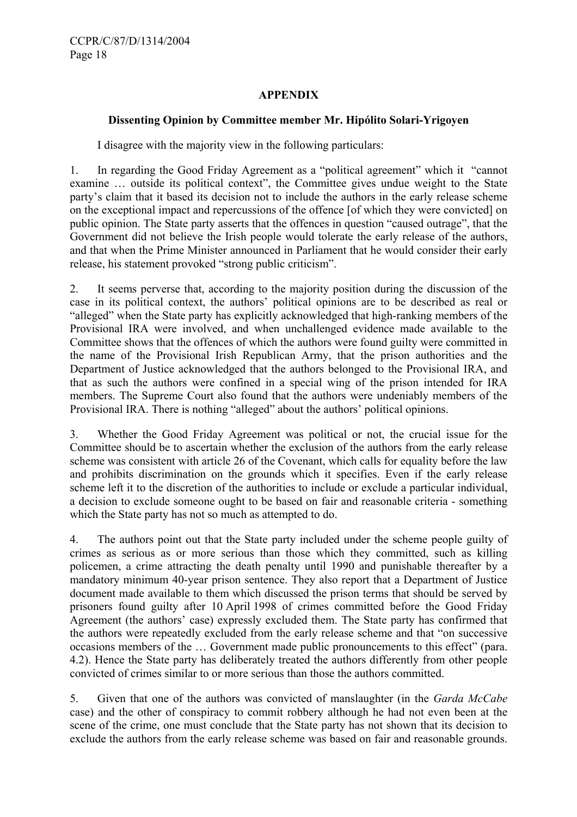#### **APPENDIX**

#### **Dissenting Opinion by Committee member Mr. Hipólito Solari-Yrigoyen**

I disagree with the majority view in the following particulars:

1. In regarding the Good Friday Agreement as a "political agreement" which it "cannot examine … outside its political context", the Committee gives undue weight to the State party's claim that it based its decision not to include the authors in the early release scheme on the exceptional impact and repercussions of the offence [of which they were convicted] on public opinion. The State party asserts that the offences in question "caused outrage", that the Government did not believe the Irish people would tolerate the early release of the authors, and that when the Prime Minister announced in Parliament that he would consider their early release, his statement provoked "strong public criticism".

2. It seems perverse that, according to the majority position during the discussion of the case in its political context, the authors' political opinions are to be described as real or "alleged" when the State party has explicitly acknowledged that high-ranking members of the Provisional IRA were involved, and when unchallenged evidence made available to the Committee shows that the offences of which the authors were found guilty were committed in the name of the Provisional Irish Republican Army, that the prison authorities and the Department of Justice acknowledged that the authors belonged to the Provisional IRA, and that as such the authors were confined in a special wing of the prison intended for IRA members. The Supreme Court also found that the authors were undeniably members of the Provisional IRA. There is nothing "alleged" about the authors' political opinions.

3. Whether the Good Friday Agreement was political or not, the crucial issue for the Committee should be to ascertain whether the exclusion of the authors from the early release scheme was consistent with article 26 of the Covenant, which calls for equality before the law and prohibits discrimination on the grounds which it specifies. Even if the early release scheme left it to the discretion of the authorities to include or exclude a particular individual, a decision to exclude someone ought to be based on fair and reasonable criteria - something which the State party has not so much as attempted to do.

4. The authors point out that the State party included under the scheme people guilty of crimes as serious as or more serious than those which they committed, such as killing policemen, a crime attracting the death penalty until 1990 and punishable thereafter by a mandatory minimum 40-year prison sentence. They also report that a Department of Justice document made available to them which discussed the prison terms that should be served by prisoners found guilty after 10 April 1998 of crimes committed before the Good Friday Agreement (the authors' case) expressly excluded them. The State party has confirmed that the authors were repeatedly excluded from the early release scheme and that "on successive occasions members of the … Government made public pronouncements to this effect" (para. 4.2). Hence the State party has deliberately treated the authors differently from other people convicted of crimes similar to or more serious than those the authors committed.

5. Given that one of the authors was convicted of manslaughter (in the *Garda McCabe* case) and the other of conspiracy to commit robbery although he had not even been at the scene of the crime, one must conclude that the State party has not shown that its decision to exclude the authors from the early release scheme was based on fair and reasonable grounds.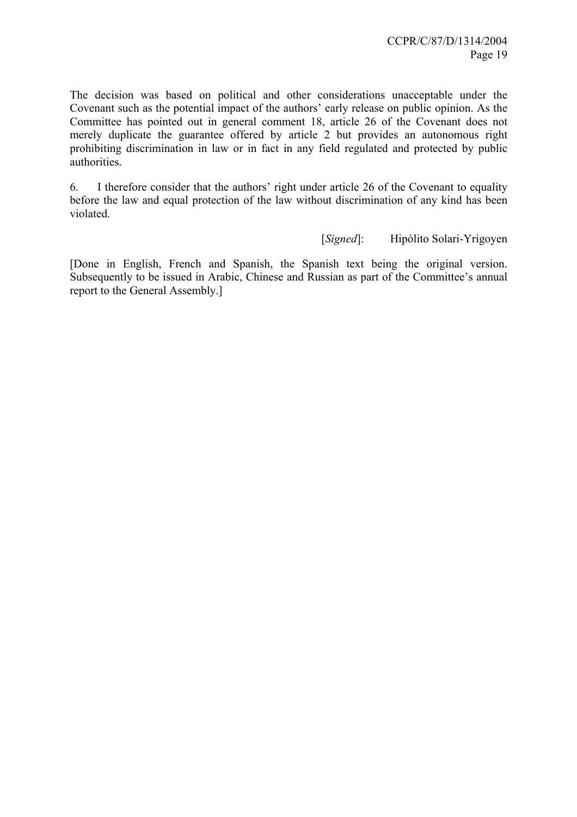The decision was based on political and other considerations unacceptable under the Covenant such as the potential impact of the authors' early release on public opinion. As the Committee has pointed out in general comment 18, article 26 of the Covenant does not merely duplicate the guarantee offered by article 2 but provides an autonomous right prohibiting discrimination in law or in fact in any field regulated and protected by public authorities.

6. I therefore consider that the authors' right under article 26 of the Covenant to equality before the law and equal protection of the law without discrimination of any kind has been violated.

[*Signed*]: Hipólito Solari-Yrigoyen

[Done in English, French and Spanish, the Spanish text being the original version. Subsequently to be issued in Arabic, Chinese and Russian as part of the Committee's annual report to the General Assembly.]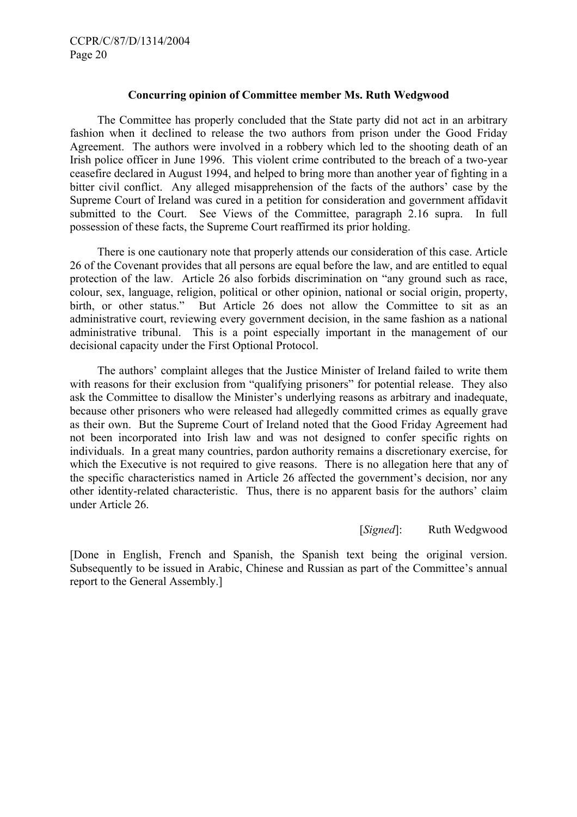#### **Concurring opinion of Committee member Ms. Ruth Wedgwood**

 The Committee has properly concluded that the State party did not act in an arbitrary fashion when it declined to release the two authors from prison under the Good Friday Agreement. The authors were involved in a robbery which led to the shooting death of an Irish police officer in June 1996. This violent crime contributed to the breach of a two-year ceasefire declared in August 1994, and helped to bring more than another year of fighting in a bitter civil conflict. Any alleged misapprehension of the facts of the authors' case by the Supreme Court of Ireland was cured in a petition for consideration and government affidavit submitted to the Court. See Views of the Committee, paragraph 2.16 supra. In full possession of these facts, the Supreme Court reaffirmed its prior holding.

 There is one cautionary note that properly attends our consideration of this case. Article 26 of the Covenant provides that all persons are equal before the law, and are entitled to equal protection of the law. Article 26 also forbids discrimination on "any ground such as race, colour, sex, language, religion, political or other opinion, national or social origin, property, birth, or other status." But Article 26 does not allow the Committee to sit as an administrative court, reviewing every government decision, in the same fashion as a national administrative tribunal. This is a point especially important in the management of our decisional capacity under the First Optional Protocol.

 The authors' complaint alleges that the Justice Minister of Ireland failed to write them with reasons for their exclusion from "qualifying prisoners" for potential release. They also ask the Committee to disallow the Minister's underlying reasons as arbitrary and inadequate, because other prisoners who were released had allegedly committed crimes as equally grave as their own. But the Supreme Court of Ireland noted that the Good Friday Agreement had not been incorporated into Irish law and was not designed to confer specific rights on individuals. In a great many countries, pardon authority remains a discretionary exercise, for which the Executive is not required to give reasons. There is no allegation here that any of the specific characteristics named in Article 26 affected the government's decision, nor any other identity-related characteristic. Thus, there is no apparent basis for the authors' claim under Article 26.

[*Signed*]: Ruth Wedgwood

[Done in English, French and Spanish, the Spanish text being the original version. Subsequently to be issued in Arabic, Chinese and Russian as part of the Committee's annual report to the General Assembly.]